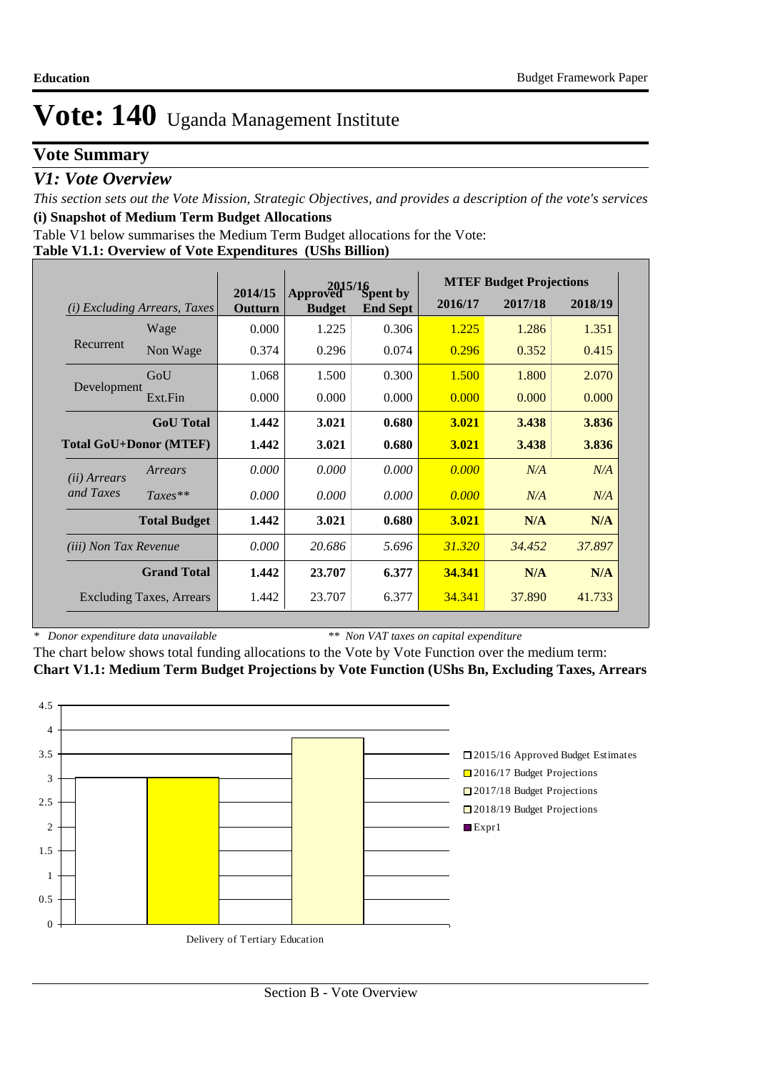## **Vote Summary**

### *V1: Vote Overview*

*This section sets out the Vote Mission, Strategic Objectives, and provides a description of the vote's services* **(i) Snapshot of Medium Term Budget Allocations** 

Table V1 below summarises the Medium Term Budget allocations for the Vote:

**Table V1.1: Overview of Vote Expenditures (UShs Billion)**

|                               |                                 |                    | <b>MTEF Budget Projections</b><br>$2015/16$<br>ved Spent by |                 |         |         |         |
|-------------------------------|---------------------------------|--------------------|-------------------------------------------------------------|-----------------|---------|---------|---------|
| (i)                           | <b>Excluding Arrears, Taxes</b> | 2014/15<br>Outturn | Approved<br><b>Budget</b>                                   | <b>End Sept</b> | 2016/17 | 2017/18 | 2018/19 |
|                               | Wage                            | 0.000              | 1.225                                                       | 0.306           | 1.225   | 1.286   | 1.351   |
| Recurrent                     | Non Wage                        | 0.374              | 0.296                                                       | 0.074           | 0.296   | 0.352   | 0.415   |
|                               | GoU                             | 1.068              | 1.500                                                       | 0.300           | 1.500   | 1.800   | 2.070   |
| Development                   | Ext.Fin                         | 0.000              | 0.000                                                       | 0.000           | 0.000   | 0.000   | 0.000   |
|                               | <b>GoU</b> Total                | 1.442              | 3.021                                                       | 0.680           | 3.021   | 3.438   | 3.836   |
| <b>Total GoU+Donor (MTEF)</b> |                                 | 1.442              | 3.021                                                       | 0.680           | 3.021   | 3.438   | 3.836   |
| ( <i>ii</i> ) Arrears         | Arrears                         | 0.000              | 0.000                                                       | 0.000           | 0.000   | N/A     | N/A     |
| and Taxes                     | $Taxes**$                       | 0.000              | 0.000                                                       | 0.000           | 0.000   | N/A     | N/A     |
|                               | <b>Total Budget</b>             | 1.442              | 3.021                                                       | 0.680           | 3.021   | N/A     | N/A     |
| <i>(iii)</i> Non Tax Revenue  |                                 | 0.000              | 20.686                                                      | 5.696           | 31.320  | 34.452  | 37.897  |
|                               | <b>Grand Total</b>              | 1.442              | 23.707                                                      | 6.377           | 34.341  | N/A     | N/A     |
|                               | <b>Excluding Taxes, Arrears</b> | 1.442              | 23.707                                                      | 6.377           | 34.341  | 37.890  | 41.733  |

*\* Donor expenditure data unavailable*

*\*\* Non VAT taxes on capital expenditure*

The chart below shows total funding allocations to the Vote by Vote Function over the medium term: **Chart V1.1: Medium Term Budget Projections by Vote Function (UShs Bn, Excluding Taxes, Arrears**

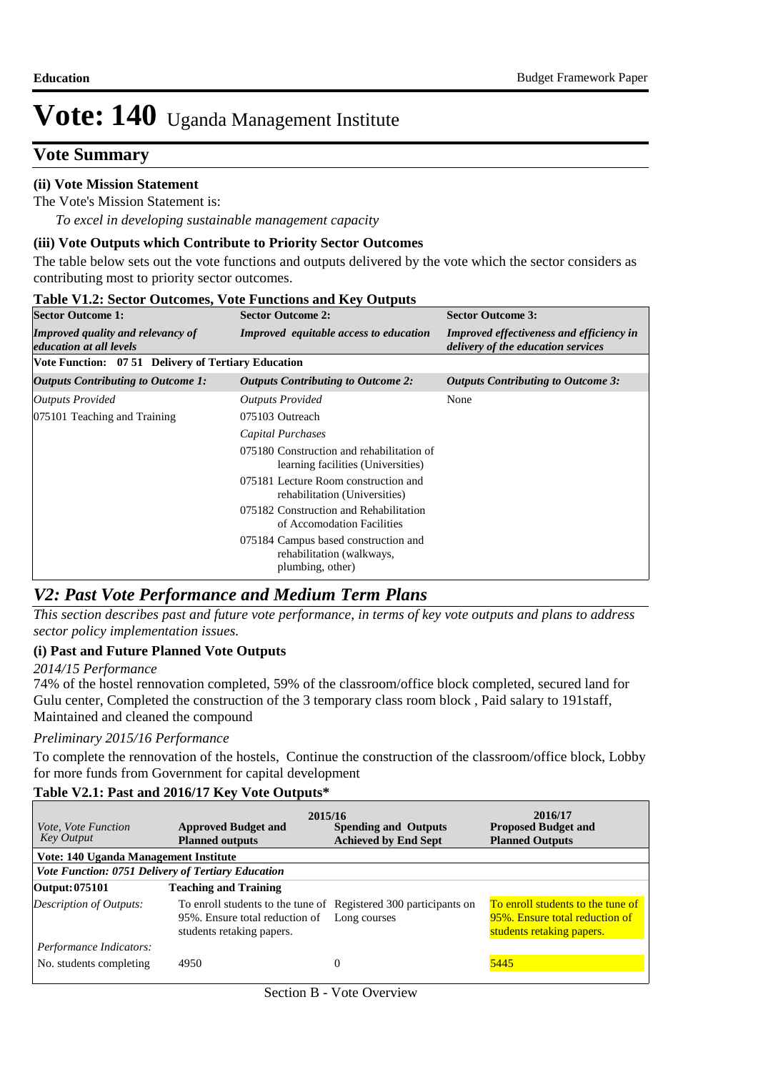## **Vote Summary**

#### **(ii) Vote Mission Statement**

*To excel in developing sustainable management capacity* The Vote's Mission Statement is:

### **(iii) Vote Outputs which Contribute to Priority Sector Outcomes**

The table below sets out the vote functions and outputs delivered by the vote which the sector considers as contributing most to priority sector outcomes.

| <b>Table V1.2: Sector Outcomes, Vote Functions and Key Outputs</b>  |                                                                                       |                                                                                       |  |  |  |  |  |  |
|---------------------------------------------------------------------|---------------------------------------------------------------------------------------|---------------------------------------------------------------------------------------|--|--|--|--|--|--|
| <b>Sector Outcome 1:</b>                                            | <b>Sector Outcome 2:</b>                                                              | <b>Sector Outcome 3:</b>                                                              |  |  |  |  |  |  |
| <b>Improved quality and relevancy of</b><br>education at all levels | <b>Improved</b> equitable access to education                                         | <b>Improved effectiveness and efficiency in</b><br>delivery of the education services |  |  |  |  |  |  |
| Vote Function: 07 51 Delivery of Tertiary Education                 |                                                                                       |                                                                                       |  |  |  |  |  |  |
| <i><b>Outputs Contributing to Outcome 1:</b></i>                    | <b>Outputs Contributing to Outcome 2:</b>                                             | <b>Outputs Contributing to Outcome 3:</b>                                             |  |  |  |  |  |  |
| <b>Outputs Provided</b>                                             | <b>Outputs Provided</b>                                                               | None                                                                                  |  |  |  |  |  |  |
| 075101 Teaching and Training                                        | 075103 Outreach                                                                       |                                                                                       |  |  |  |  |  |  |
|                                                                     | Capital Purchases                                                                     |                                                                                       |  |  |  |  |  |  |
|                                                                     | 075180 Construction and rehabilitation of<br>learning facilities (Universities)       |                                                                                       |  |  |  |  |  |  |
|                                                                     | 075181 Lecture Room construction and<br>rehabilitation (Universities)                 |                                                                                       |  |  |  |  |  |  |
|                                                                     | 075182 Construction and Rehabilitation<br>of Accomodation Facilities                  |                                                                                       |  |  |  |  |  |  |
|                                                                     | 075184 Campus based construction and<br>rehabilitation (walkways,<br>plumbing, other) |                                                                                       |  |  |  |  |  |  |

# *V2: Past Vote Performance and Medium Term Plans*

*This section describes past and future vote performance, in terms of key vote outputs and plans to address sector policy implementation issues.* 

### **(i) Past and Future Planned Vote Outputs**

#### *2014/15 Performance*

74% of the hostel rennovation completed, 59% of the classroom/office block completed, secured land for Gulu center, Completed the construction of the 3 temporary class room block , Paid salary to 191staff, Maintained and cleaned the compound

### *Preliminary 2015/16 Performance*

To complete the rennovation of the hostels, Continue the construction of the classroom/office block, Lobby for more funds from Government for capital development

### **Table V2.1: Past and 2016/17 Key Vote Outputs\***

| <i>Vote, Vote Function</i><br><b>Key Output</b>           | 2015/16<br><b>Approved Budget and</b><br><b>Planned outputs</b>                                                                 | 2016/17<br><b>Proposed Budget and</b><br><b>Planned Outputs</b> |                                                                                                  |  |  |  |  |  |  |
|-----------------------------------------------------------|---------------------------------------------------------------------------------------------------------------------------------|-----------------------------------------------------------------|--------------------------------------------------------------------------------------------------|--|--|--|--|--|--|
|                                                           | Vote: 140 Uganda Management Institute                                                                                           |                                                                 |                                                                                                  |  |  |  |  |  |  |
| <b>Vote Function: 0751 Delivery of Tertiary Education</b> |                                                                                                                                 |                                                                 |                                                                                                  |  |  |  |  |  |  |
| Output: 075101                                            | <b>Teaching and Training</b>                                                                                                    |                                                                 |                                                                                                  |  |  |  |  |  |  |
| <b>Description of Outputs:</b>                            | To enroll students to the tune of Registered 300 participants on<br>95%. Ensure total reduction of<br>students retaking papers. | Long courses                                                    | To enroll students to the tune of<br>95%. Ensure total reduction of<br>students retaking papers. |  |  |  |  |  |  |
| Performance Indicators:<br>No. students completing        | 4950                                                                                                                            | $\Omega$                                                        | 5445                                                                                             |  |  |  |  |  |  |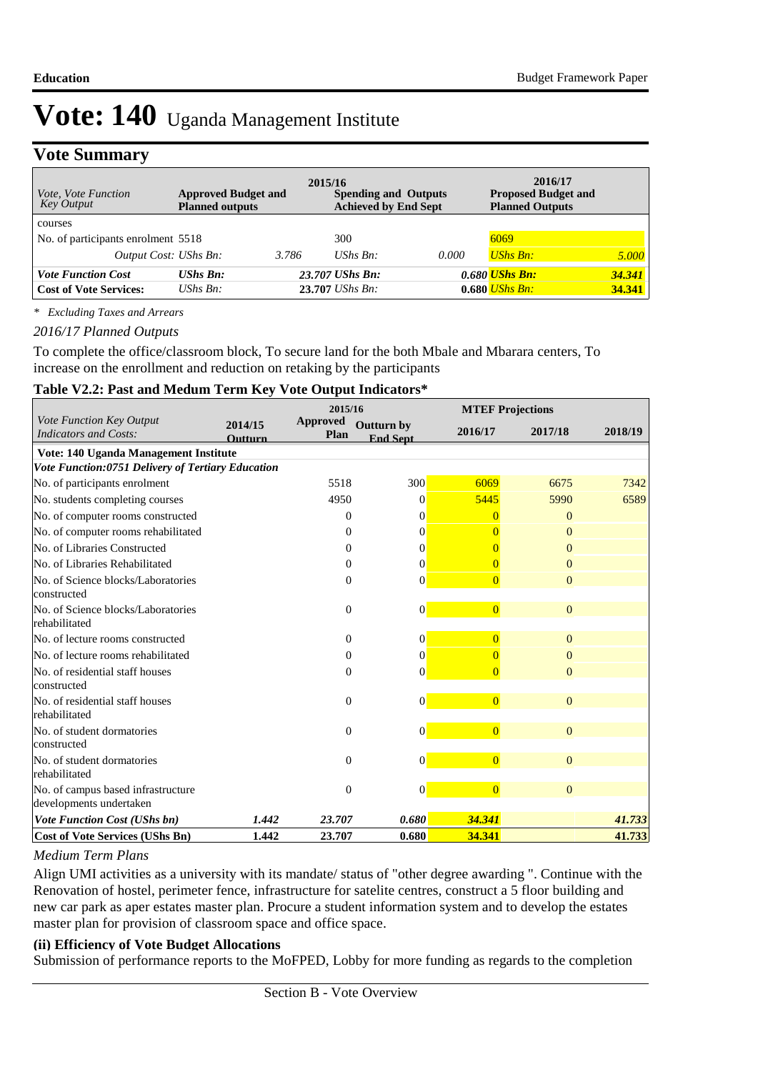## **Vote Summary**

| <i>Vote, Vote Function</i><br>Key Output | 2015/16<br><b>Approved Budget and</b><br><b>Planned outputs</b> |       | <b>Spending and Outputs</b><br><b>Achieved by End Sept</b> |       | 2016/17<br><b>Proposed Budget and</b><br><b>Planned Outputs</b> |        |
|------------------------------------------|-----------------------------------------------------------------|-------|------------------------------------------------------------|-------|-----------------------------------------------------------------|--------|
| courses                                  |                                                                 |       |                                                            |       |                                                                 |        |
| No. of participants enrolment 5518       |                                                                 |       | 300                                                        |       | 6069                                                            |        |
| Output Cost: UShs Bn:                    |                                                                 | 3.786 | UShs $Bn$ :                                                | 0.000 | <b>UShs Bn:</b>                                                 | 5.000  |
| <b>Vote Function Cost</b>                | $UShs$ $Bn$ :                                                   |       | 23.707 UShs Bn:                                            |       | 0.680 <i>UShs Bn:</i>                                           | 34.341 |
| <b>Cost of Vote Services:</b>            | UShs $Bn$ :                                                     |       | $23.707$ UShs Bn:                                          |       | $0.680$ UShs Bn:                                                | 34.341 |

*\* Excluding Taxes and Arrears*

#### *2016/17 Planned Outputs*

To complete the office/classroom block, To secure land for the both Mbale and Mbarara centers, To increase on the enrollment and reduction on retaking by the participants

#### **Table V2.2: Past and Medum Term Key Vote Output Indicators\***

|                                                               |                           |                                | 2015/16                              |                | <b>MTEF Projections</b> |         |  |
|---------------------------------------------------------------|---------------------------|--------------------------------|--------------------------------------|----------------|-------------------------|---------|--|
| Vote Function Key Output<br>Indicators and Costs:             | 2014/15<br><b>Outturn</b> | <b>Approved</b><br><b>Plan</b> | <b>Outturn by</b><br><b>End Sept</b> | 2016/17        | 2017/18                 | 2018/19 |  |
| Vote: 140 Uganda Management Institute                         |                           |                                |                                      |                |                         |         |  |
| Vote Function:0751 Delivery of Tertiary Education             |                           |                                |                                      |                |                         |         |  |
| No. of participants enrolment                                 |                           | 5518                           | 300                                  | 6069           | 6675                    | 7342    |  |
| No. students completing courses                               |                           | 4950                           | $\Omega$                             | 5445           | 5990                    | 6589    |  |
| No. of computer rooms constructed                             |                           | $\theta$                       | $\Omega$                             | 0              | $\Omega$                |         |  |
| No. of computer rooms rehabilitated                           |                           | $\Omega$                       | $\Omega$                             | $\Omega$       | $\Omega$                |         |  |
| No. of Libraries Constructed                                  |                           | $\Omega$                       | 0                                    |                | $\Omega$                |         |  |
| No. of Libraries Rehabilitated                                |                           | $\mathbf{0}$                   | $\theta$                             |                | $\Omega$                |         |  |
| No. of Science blocks/Laboratories<br>constructed             |                           | $\Omega$                       | $\Omega$                             | $\Omega$       | $\Omega$                |         |  |
| No. of Science blocks/Laboratories<br>rehabilitated           |                           | $\theta$                       | $\overline{0}$                       | $\overline{0}$ | $\mathbf{0}$            |         |  |
| No. of lecture rooms constructed                              |                           | $\Omega$                       | $\vert 0 \vert$                      | $\overline{0}$ | $\Omega$                |         |  |
| No. of lecture rooms rehabilitated                            |                           | $\mathbf{0}$                   | $\Omega$                             |                | $\Omega$                |         |  |
| No. of residential staff houses<br>constructed                |                           | $\mathbf{0}$                   | $\theta$                             | $\overline{0}$ | $\Omega$                |         |  |
| No. of residential staff houses<br>rehabilitated              |                           | $\theta$                       | $\Omega$                             | $\overline{0}$ | $\overline{0}$          |         |  |
| No. of student dormatories<br>constructed                     |                           | $\theta$                       | $\theta$                             | $\overline{0}$ | $\overline{0}$          |         |  |
| No. of student dormatories<br>rehabilitated                   |                           | $\Omega$                       | $\overline{0}$                       | $\overline{0}$ | $\Omega$                |         |  |
| No. of campus based infrastructure<br>developments undertaken |                           | $\theta$                       | $\vert 0 \vert$                      | $\overline{0}$ | $\Omega$                |         |  |
| <b>Vote Function Cost (UShs bn)</b>                           | 1.442                     | 23.707                         | 0.680                                | 34.341         |                         | 41.733  |  |
| <b>Cost of Vote Services (UShs Bn)</b>                        | 1.442                     | 23.707                         | 0.680                                | 34.341         |                         | 41.733  |  |

#### *Medium Term Plans*

Align UMI activities as a university with its mandate/ status of "other degree awarding ". Continue with the Renovation of hostel, perimeter fence, infrastructure for satelite centres, construct a 5 floor building and new car park as aper estates master plan. Procure a student information system and to develop the estates master plan for provision of classroom space and office space.

#### **(ii) Efficiency of Vote Budget Allocations**

Submission of performance reports to the MoFPED, Lobby for more funding as regards to the completion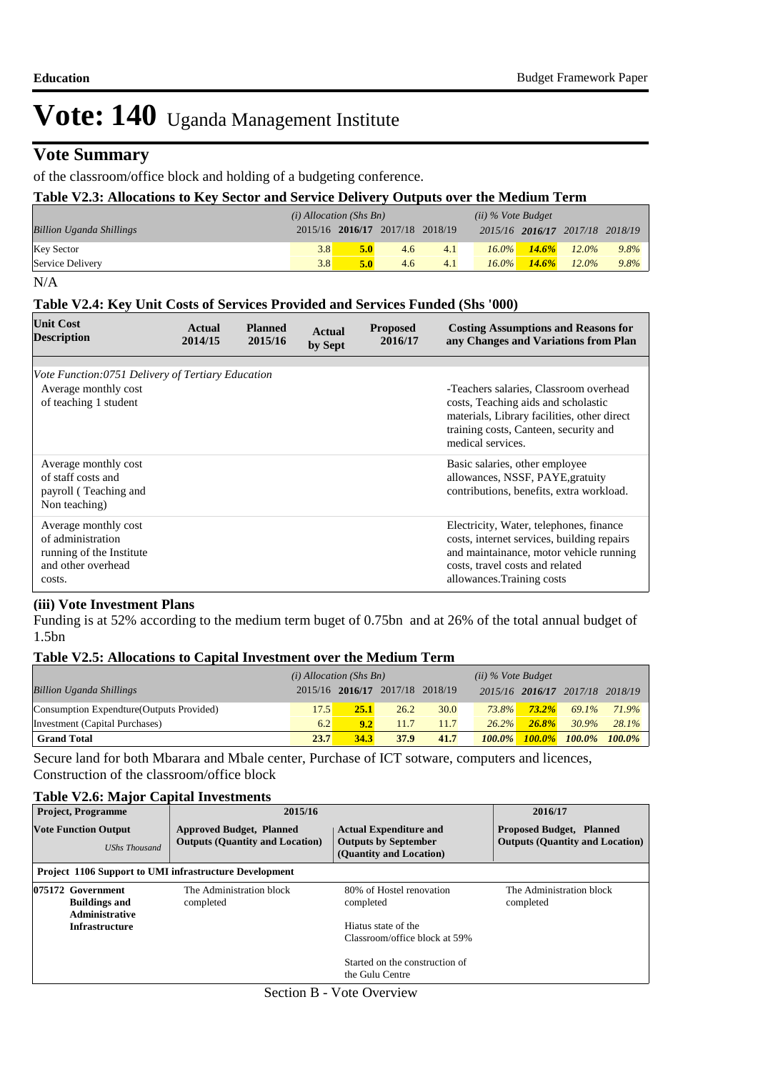### **Vote Summary**

#### of the classroom/office block and holding of a budgeting conference.

#### **Table V2.3: Allocations to Key Sector and Service Delivery Outputs over the Medium Term**

|                                 | $(i)$ Allocation (Shs Bn) |     |                                 |     | $(ii)$ % Vote Budget |          |                                 |      |
|---------------------------------|---------------------------|-----|---------------------------------|-----|----------------------|----------|---------------------------------|------|
| <b>Billion Uganda Shillings</b> |                           |     | 2015/16 2016/17 2017/18 2018/19 |     |                      |          | 2015/16 2016/17 2017/18 2018/19 |      |
| <b>Key Sector</b>               | 3.8                       | 5.0 | 4.6                             | 4.1 | $16.0\%$             | $14.6\%$ | $12.0\%$                        | 9.8% |
| Service Delivery                | 3.8                       | 5.0 | 4.6                             | 4.1 | $16.0\%$             | $14.6\%$ | $12.0\%$                        | 9.8% |

#### N/A

#### **Table V2.4: Key Unit Costs of Services Provided and Services Funded (Shs '000)**

| <b>Unit Cost</b><br><b>Description</b>                                                                | Actual<br>2014/15 | <b>Planned</b><br>2015/16 | Actual<br>by Sept | <b>Proposed</b><br>2016/17 | <b>Costing Assumptions and Reasons for</b><br>any Changes and Variations from Plan                                                                                                                |
|-------------------------------------------------------------------------------------------------------|-------------------|---------------------------|-------------------|----------------------------|---------------------------------------------------------------------------------------------------------------------------------------------------------------------------------------------------|
|                                                                                                       |                   |                           |                   |                            |                                                                                                                                                                                                   |
| Vote Function: 0751 Delivery of Tertiary Education                                                    |                   |                           |                   |                            |                                                                                                                                                                                                   |
| Average monthly cost<br>of teaching 1 student                                                         |                   |                           |                   |                            | -Teachers salaries, Classroom overhead<br>costs, Teaching aids and scholastic<br>materials, Library facilities, other direct<br>training costs, Canteen, security and<br>medical services.        |
| Average monthly cost<br>of staff costs and<br>payroll (Teaching and<br>Non teaching)                  |                   |                           |                   |                            | Basic salaries, other employee<br>allowances, NSSF, PAYE, gratuity<br>contributions, benefits, extra workload.                                                                                    |
| Average monthly cost<br>of administration<br>running of the Institute<br>and other overhead<br>costs. |                   |                           |                   |                            | Electricity, Water, telephones, finance<br>costs, internet services, building repairs<br>and maintainance, motor vehicle running<br>costs, travel costs and related<br>allowances. Training costs |

#### **(iii) Vote Investment Plans**

Funding is at 52% according to the medium term buget of 0.75bn and at 26% of the total annual budget of 1.5bn

#### **Table V2.5: Allocations to Capital Investment over the Medium Term**

|                                           | $(i)$ Allocation (Shs Bn) |      |                                 | $(ii)$ % Vote Budget |           |           |                                 |          |
|-------------------------------------------|---------------------------|------|---------------------------------|----------------------|-----------|-----------|---------------------------------|----------|
| <b>Billion Uganda Shillings</b>           |                           |      | 2015/16 2016/17 2017/18 2018/19 |                      |           |           | 2015/16 2016/17 2017/18 2018/19 |          |
| Consumption Expendture (Outputs Provided) | 17.51                     | 25.1 | 26.2                            | 30.0                 | $73.8\%$  | $73.2\%$  | 69.1%                           | 71.9%    |
| Investment (Capital Purchases)            | 6.2                       | 9.2  | 11.7                            | 11.7                 | $26.2\%$  | $-26.8\%$ | $30.9\%$                        | $28.1\%$ |
| <b>Grand Total</b>                        | 23.7                      | 34.3 | 37.9                            | 41.7                 | $100.0\%$ | $100.0\%$ | $100.0\%$ $100.0\%$             |          |

Secure land for both Mbarara and Mbale center, Purchase of ICT sotware, computers and licences, Construction of the classroom/office block

#### **Table V2.6: Major Capital Investments**

| <b>Project, Programme</b>                                          | 2015/16                                                                   |                                                                                                                                                                      | 2016/17                               |
|--------------------------------------------------------------------|---------------------------------------------------------------------------|----------------------------------------------------------------------------------------------------------------------------------------------------------------------|---------------------------------------|
| <b>Vote Function Output</b><br><b>UShs Thousand</b>                | <b>Approved Budget, Planned</b><br><b>Outputs (Quantity and Location)</b> | <b>Actual Expenditure and</b><br><b>Proposed Budget, Planned</b><br><b>Outputs (Quantity and Location)</b><br><b>Outputs by September</b><br>(Quantity and Location) |                                       |
| <b>Project 1106 Support to UMI infrastructure Development</b>      |                                                                           |                                                                                                                                                                      |                                       |
| 075172 Government<br><b>Buildings and</b><br><b>Administrative</b> | The Administration block<br>completed                                     | 80% of Hostel renovation<br>completed                                                                                                                                | The Administration block<br>completed |
| <b>Infrastructure</b>                                              |                                                                           | Hiatus state of the<br>Classroom/office block at 59%                                                                                                                 |                                       |
|                                                                    |                                                                           | Started on the construction of<br>the Gulu Centre                                                                                                                    |                                       |

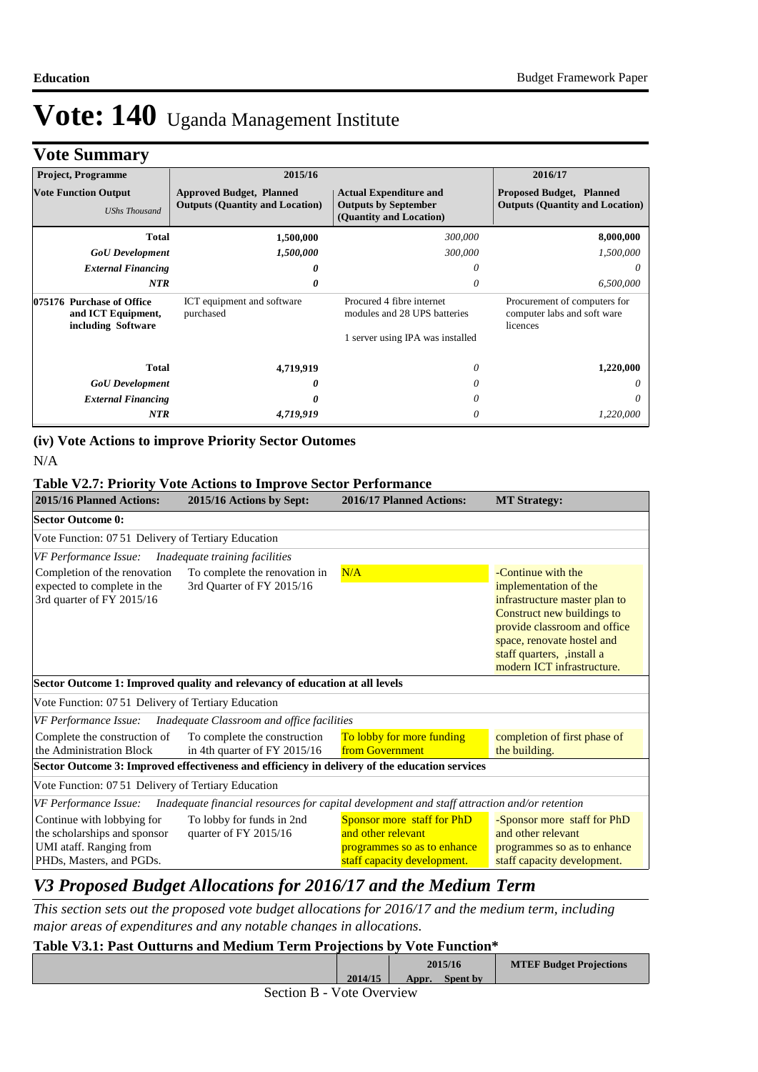# **Vote Summary**

| <b>Project, Programme</b>                                                                                        | 2015/16                                                                   |                                                                                         | 2016/17                                                                   |
|------------------------------------------------------------------------------------------------------------------|---------------------------------------------------------------------------|-----------------------------------------------------------------------------------------|---------------------------------------------------------------------------|
| <b>Vote Function Output</b><br><b>UShs Thousand</b>                                                              | <b>Approved Budget, Planned</b><br><b>Outputs (Quantity and Location)</b> | <b>Actual Expenditure and</b><br><b>Outputs by September</b><br>(Quantity and Location) | <b>Proposed Budget, Planned</b><br><b>Outputs (Quantity and Location)</b> |
| <b>Total</b>                                                                                                     | 1,500,000                                                                 | 300,000                                                                                 | 8,000,000                                                                 |
| <b>GoU</b> Development                                                                                           | 1,500,000                                                                 | 300,000                                                                                 | 1,500,000                                                                 |
| <b>External Financing</b>                                                                                        | 0                                                                         | 0                                                                                       | 0                                                                         |
| <b>NTR</b>                                                                                                       | 0                                                                         | 0                                                                                       | 6,500,000                                                                 |
| 075176 Purchase of Office<br>ICT equipment and software<br>and ICT Equipment,<br>purchased<br>including Software |                                                                           | Procured 4 fibre internet<br>modules and 28 UPS batteries                               | Procurement of computers for<br>computer labs and soft ware<br>licences   |
|                                                                                                                  |                                                                           | 1 server using IPA was installed                                                        |                                                                           |
| <b>Total</b>                                                                                                     | 4,719,919                                                                 | 0                                                                                       | 1,220,000                                                                 |
| <b>GoU</b> Development                                                                                           | 0                                                                         | 0                                                                                       | 0                                                                         |
| <b>External Financing</b>                                                                                        | 0                                                                         | 0                                                                                       | $\theta$                                                                  |
| <b>NTR</b>                                                                                                       | 4,719,919                                                                 | 0                                                                                       | 1,220,000                                                                 |

# **(iv) Vote Actions to improve Priority Sector Outomes**

#### **Table V2.7: Priority Vote Actions to Improve Sector Performance**

| 2015/16 Planned Actions:                                                                                          | 2015/16 Actions by Sept:                                                                      | 2016/17 Planned Actions:                                                                                       | <b>MT Strategy:</b>                                                                                                                                                                                                                  |
|-------------------------------------------------------------------------------------------------------------------|-----------------------------------------------------------------------------------------------|----------------------------------------------------------------------------------------------------------------|--------------------------------------------------------------------------------------------------------------------------------------------------------------------------------------------------------------------------------------|
| <b>Sector Outcome 0:</b>                                                                                          |                                                                                               |                                                                                                                |                                                                                                                                                                                                                                      |
| Vote Function: 0751 Delivery of Tertiary Education                                                                |                                                                                               |                                                                                                                |                                                                                                                                                                                                                                      |
| VF Performance Issue:                                                                                             | Inadequate training facilities                                                                |                                                                                                                |                                                                                                                                                                                                                                      |
| Completion of the renovation<br>expected to complete in the<br>3rd quarter of FY 2015/16                          | To complete the renovation in<br>3rd Quarter of FY 2015/16                                    | N/A                                                                                                            | -Continue with the<br>implementation of the<br>infrastructure master plan to<br>Construct new buildings to<br>provide classroom and office<br>space, renovate hostel and<br>staff quarters, ,install a<br>modern ICT infrastructure. |
|                                                                                                                   | Sector Outcome 1: Improved quality and relevancy of education at all levels                   |                                                                                                                |                                                                                                                                                                                                                                      |
| Vote Function: 07.51 Delivery of Tertiary Education                                                               |                                                                                               |                                                                                                                |                                                                                                                                                                                                                                      |
| <b>VF Performance Issue:</b>                                                                                      | Inadequate Classroom and office facilities                                                    |                                                                                                                |                                                                                                                                                                                                                                      |
| Complete the construction of<br>the Administration Block                                                          | To complete the construction<br>in 4th quarter of FY 2015/16                                  | To lobby for more funding<br>from Government                                                                   | completion of first phase of<br>the building.                                                                                                                                                                                        |
|                                                                                                                   | Sector Outcome 3: Improved effectiveness and efficiency in delivery of the education services |                                                                                                                |                                                                                                                                                                                                                                      |
| Vote Function: 07.51 Delivery of Tertiary Education                                                               |                                                                                               |                                                                                                                |                                                                                                                                                                                                                                      |
| <b>VF Performance Issue:</b>                                                                                      | Inadequate financial resources for capital development and staff attraction and/or retention  |                                                                                                                |                                                                                                                                                                                                                                      |
| Continue with lobbying for<br>the scholarships and sponsor<br>UMI ataff. Ranging from<br>PHDs, Masters, and PGDs. | To lobby for funds in 2nd<br>quarter of FY 2015/16                                            | Sponsor more staff for PhD<br>and other relevant<br>programmes so as to enhance<br>staff capacity development. | -Sponsor more staff for PhD<br>and other relevant<br>programmes so as to enhance<br>staff capacity development.                                                                                                                      |

## *V3 Proposed Budget Allocations for 2016/17 and the Medium Term*

*This section sets out the proposed vote budget allocations for 2016/17 and the medium term, including major areas of expenditures and any notable changes in allocations.* 

#### **Table V3.1: Past Outturns and Medium Term Projections by Vote Function\***

|                           |         | 2015/16 |                 | <b>MTEF Budget Projections</b> |
|---------------------------|---------|---------|-----------------|--------------------------------|
|                           | 2014/15 | Appr.   | <b>Spent by</b> |                                |
| Section B - Vote Overview |         |         |                 |                                |

N/A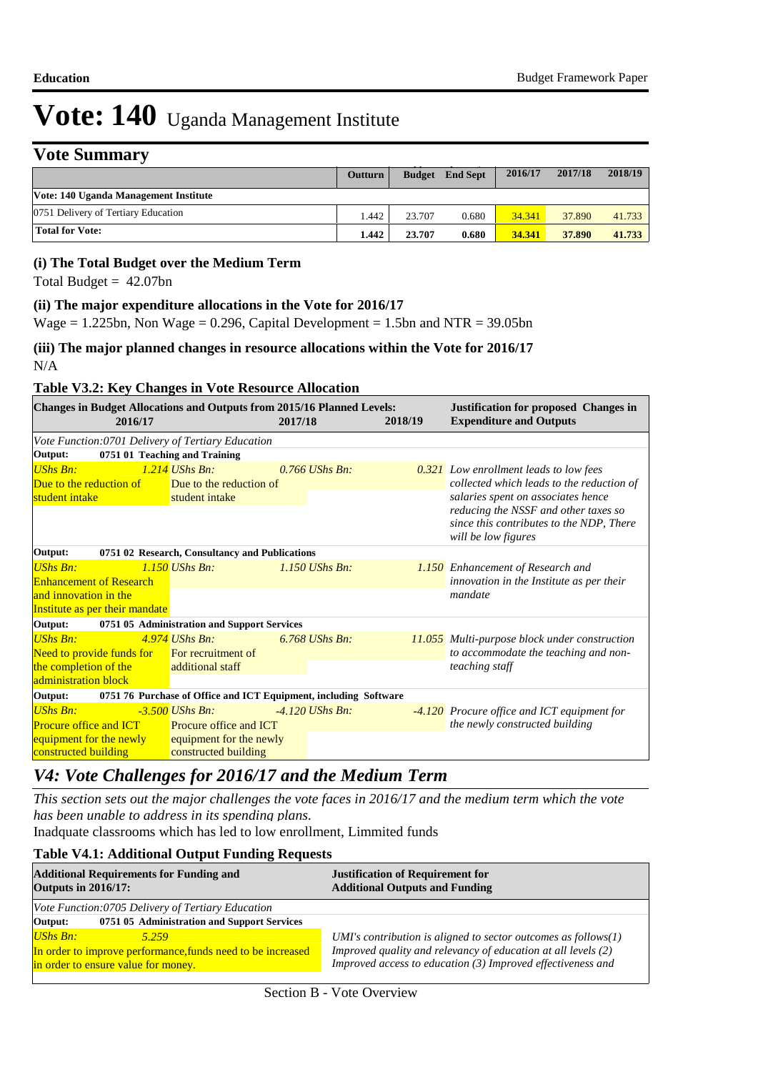# **Vote Summary**

| 1 VW DUMINIUM 1                       |         |               |                 |         |         |         |
|---------------------------------------|---------|---------------|-----------------|---------|---------|---------|
|                                       | Outturn | <b>Budget</b> | <b>End Sept</b> | 2016/17 | 2017/18 | 2018/19 |
| Vote: 140 Uganda Management Institute |         |               |                 |         |         |         |
| 0751 Delivery of Tertiary Education   | 1.442   | 23.707        | 0.680           | 34.341  | 37.890  | 41.733  |
| <b>Total for Vote:</b>                | 1.442   | 23.707        | 0.680           | 34.341  | 37.890  | 41.733  |

#### **(i) The Total Budget over the Medium Term**

Total Budget  $= 42.07$ bn

#### **(ii) The major expenditure allocations in the Vote for 2016/17**

Wage =  $1.225$ bn, Non Wage = 0.296, Capital Development = 1.5bn and NTR = 39.05bn

**(iii) The major planned changes in resource allocations within the Vote for 2016/17** N/A

#### **Table V3.2: Key Changes in Vote Resource Allocation**

|                                                                             | 2016/17                        |                                                                                                                       | <b>Changes in Budget Allocations and Outputs from 2015/16 Planned Levels:</b> | 2017/18 |                   | 2018/19                                   | <b>Justification for proposed Changes in</b><br><b>Expenditure and Outputs</b> |  |
|-----------------------------------------------------------------------------|--------------------------------|-----------------------------------------------------------------------------------------------------------------------|-------------------------------------------------------------------------------|---------|-------------------|-------------------------------------------|--------------------------------------------------------------------------------|--|
|                                                                             |                                |                                                                                                                       | Vote Function:0701 Delivery of Tertiary Education                             |         |                   |                                           |                                                                                |  |
| Output:                                                                     |                                |                                                                                                                       | 0751 01 Teaching and Training                                                 |         |                   |                                           |                                                                                |  |
| <b>UShs Bn:</b>                                                             |                                |                                                                                                                       | $1.214$ UShs Bn:                                                              |         | $0.766$ UShs Bn:  |                                           | <b>0.321</b> Low enrollment leads to low fees                                  |  |
| Due to the reduction of                                                     |                                | Due to the reduction of                                                                                               |                                                                               |         |                   | collected which leads to the reduction of |                                                                                |  |
| student intake                                                              |                                |                                                                                                                       | student intake                                                                |         |                   |                                           | salaries spent on associates hence                                             |  |
|                                                                             |                                |                                                                                                                       |                                                                               |         |                   |                                           | reducing the NSSF and other taxes so                                           |  |
|                                                                             |                                |                                                                                                                       |                                                                               |         |                   |                                           | since this contributes to the NDP, There<br>will be low figures                |  |
|                                                                             |                                |                                                                                                                       |                                                                               |         |                   |                                           |                                                                                |  |
| Output:                                                                     |                                |                                                                                                                       | 0751 02 Research, Consultancy and Publications                                |         |                   |                                           |                                                                                |  |
| <b>UShs Bn:</b>                                                             |                                |                                                                                                                       | $1.150$ UShs Bn:                                                              |         | $1.150$ UShs Bn:  |                                           | 1.150 Enhancement of Research and                                              |  |
| <b>Enhancement of Research</b>                                              |                                |                                                                                                                       |                                                                               |         |                   |                                           | innovation in the Institute as per their                                       |  |
| and innovation in the                                                       |                                |                                                                                                                       |                                                                               |         |                   |                                           | mandate                                                                        |  |
|                                                                             | Institute as per their mandate |                                                                                                                       |                                                                               |         |                   |                                           |                                                                                |  |
| Output:                                                                     |                                |                                                                                                                       | 0751 05 Administration and Support Services                                   |         |                   |                                           |                                                                                |  |
| <b>UShs Bn:</b>                                                             |                                |                                                                                                                       | $4.974$ UShs Bn:                                                              |         | 6.768 UShs Bn:    |                                           | <b>11.055</b> Multi-purpose block under construction                           |  |
|                                                                             |                                |                                                                                                                       | Need to provide funds for For recruitment of                                  |         |                   |                                           | to accommodate the teaching and non-                                           |  |
| the completion of the                                                       |                                | <b>Contract Contract Contract Contract Contract Contract Contract Contract Contract Contract Contract Contract Co</b> | additional staff                                                              |         |                   |                                           | teaching staff                                                                 |  |
| administration block                                                        |                                |                                                                                                                       |                                                                               |         |                   |                                           |                                                                                |  |
| 0751 76 Purchase of Office and ICT Equipment, including Software<br>Output: |                                |                                                                                                                       |                                                                               |         |                   |                                           |                                                                                |  |
| <b>UShs Bn:</b>                                                             |                                |                                                                                                                       | $-3.500$ UShs Bn:                                                             |         | $-4.120$ UShs Bn. |                                           | -4.120 Procure office and ICT equipment for                                    |  |
| <b>Procure office and ICT</b>                                               |                                | <b>Procure office and ICT</b>                                                                                         |                                                                               |         |                   | the newly constructed building            |                                                                                |  |
| equipment for the newly                                                     |                                | equipment for the newly                                                                                               |                                                                               |         |                   |                                           |                                                                                |  |
| constructed building                                                        |                                | constructed building                                                                                                  |                                                                               |         |                   |                                           |                                                                                |  |

### *V4: Vote Challenges for 2016/17 and the Medium Term*

*This section sets out the major challenges the vote faces in 2016/17 and the medium term which the vote has been unable to address in its spending plans.*

Inadquate classrooms which has led to low enrollment, Limmited funds

#### **Table V4.1: Additional Output Funding Requests**

| <b>Additional Requirements for Funding and</b><br><b>Outputs in 2016/17:</b>                       | <b>Justification of Requirement for</b><br><b>Additional Outputs and Funding</b>                                             |  |  |  |
|----------------------------------------------------------------------------------------------------|------------------------------------------------------------------------------------------------------------------------------|--|--|--|
| Vote Function:0705 Delivery of Tertiary Education                                                  |                                                                                                                              |  |  |  |
| 0751 05 Administration and Support Services<br>Output:                                             |                                                                                                                              |  |  |  |
| $UShs Bn:$<br>5.259                                                                                | UMI's contribution is aligned to sector outcomes as follows(1)                                                               |  |  |  |
| In order to improve performance, funds need to be increased<br>in order to ensure value for money. | Improved quality and relevancy of education at all levels (2)<br>Improved access to education (3) Improved effectiveness and |  |  |  |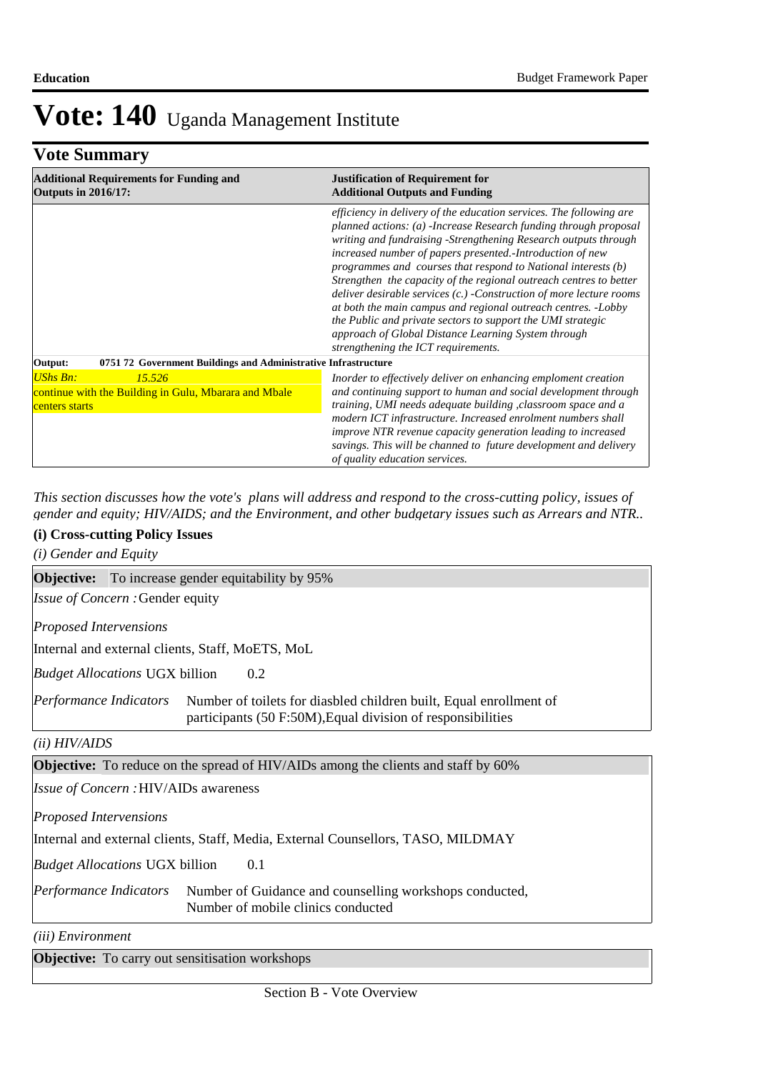# **Vote Summary**

| <b>Additional Requirements for Funding and</b><br><b>Outputs in 2016/17:</b>                         | <b>Justification of Requirement for</b><br><b>Additional Outputs and Funding</b>                                                                                                                                                                                                                                                                                                                                                                                                                                                                                                                                                                                                                                     |  |  |  |
|------------------------------------------------------------------------------------------------------|----------------------------------------------------------------------------------------------------------------------------------------------------------------------------------------------------------------------------------------------------------------------------------------------------------------------------------------------------------------------------------------------------------------------------------------------------------------------------------------------------------------------------------------------------------------------------------------------------------------------------------------------------------------------------------------------------------------------|--|--|--|
|                                                                                                      | efficiency in delivery of the education services. The following are<br>planned actions: (a) -Increase Research funding through proposal<br>writing and fundraising -Strengthening Research outputs through<br>increased number of papers presented.-Introduction of new<br>programmes and courses that respond to National interests (b)<br>Strengthen the capacity of the regional outreach centres to better<br>deliver desirable services (c.) - Construction of more lecture rooms<br>at both the main campus and regional outreach centres. -Lobby<br>the Public and private sectors to support the UMI strategic<br>approach of Global Distance Learning System through<br>strengthening the ICT requirements. |  |  |  |
| 0751 72 Government Buildings and Administrative Infrastructure<br>Output:                            |                                                                                                                                                                                                                                                                                                                                                                                                                                                                                                                                                                                                                                                                                                                      |  |  |  |
| <b>UShs Bn:</b><br>15.526<br>continue with the Building in Gulu, Mbarara and Mbale<br>centers starts | Inorder to effectively deliver on enhancing emploment creation<br>and continuing support to human and social development through<br>training, UMI needs adequate building, classroom space and a<br>modern ICT infrastructure. Increased enrolment numbers shall<br>improve NTR revenue capacity generation leading to increased<br>savings. This will be channed to future development and delivery<br>of quality education services.                                                                                                                                                                                                                                                                               |  |  |  |

*This section discusses how the vote's plans will address and respond to the cross-cutting policy, issues of gender and equity; HIV/AIDS; and the Environment, and other budgetary issues such as Arrears and NTR..* 

#### **(i) Cross-cutting Policy Issues**

*(i) Gender and Equity*

**Objective:** To increase gender equitability by 95%

Issue of Concern : Gender equity

*Proposed Intervensions* 

Internal and external clients, Staff, MoETS, MoL

0.2 *Budget Allocations*  UGX billion

Number of toilets for diasbled children built, Equal enrollment of participants (50 F:50M),Equal division of responsibilities *Performance Indicators*

#### *(ii) HIV/AIDS*

**Objective:** To reduce on the spread of HIV/AIDs among the clients and staff by 60%

HIV/AIDs awareness *Issue of Concern :*

*Proposed Intervensions* 

Internal and external clients, Staff, Media, External Counsellors, TASO, MILDMAY

0.1 *Budget Allocations*  UGX billion

Number of Guidance and counselling workshops conducted, Number of mobile clinics conducted *Performance Indicators*

*(iii) Environment*

**Objective:** To carry out sensitisation workshops